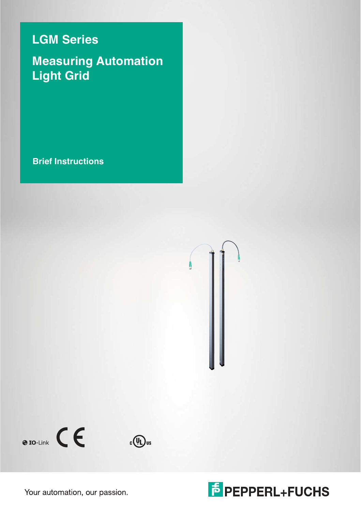## **LGM Series**

## **Measuring Automation Light Grid**

**Brief Instructions**





Your automation, our passion.

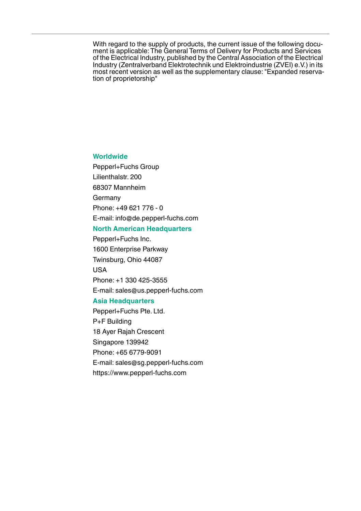With regard to the supply of products, the current issue of the following document is applicable: The General Terms of Delivery for Products and Services of the Electrical Industry, published by the Central Association of the Electrical Industry (Zentralverband Elektrotechnik und Elektroindustrie (ZVEI) e.V.) in its most recent version as well as the supplementary clause: "Expanded reservation of proprietorship"

### **Worldwide**

Pepperl+Fuchs Group Lilienthalstr. 200 68307 Mannheim **Germany** Phone: +49 621 776 - 0 E-mail: info@de.pepperl-fuchs.com

## **North American Headquarters**

Pepperl+Fuchs Inc. 1600 Enterprise Parkway Twinsburg, Ohio 44087 USA Phone: +1 330 425-3555

E-mail: sales@us.pepperl-fuchs.com

### **Asia Headquarters**

Pepperl+Fuchs Pte. Ltd. P+F Building 18 Ayer Rajah Crescent Singapore 139942 Phone: +65 6779-9091 E-mail: sales@sg.pepperl-fuchs.com https://www.pepperl-fuchs.com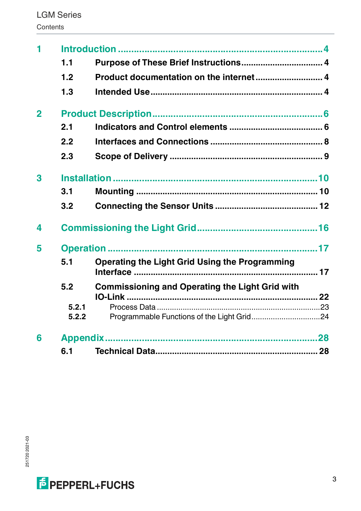| 1.1   | Purpose of These Brief Instructions 4          |                                                               |
|-------|------------------------------------------------|---------------------------------------------------------------|
| 1.2   | Product documentation on the internet 4        |                                                               |
| 1.3   |                                                |                                                               |
|       |                                                |                                                               |
| 2.1   |                                                |                                                               |
| 2.2   |                                                |                                                               |
| 2.3   |                                                |                                                               |
|       |                                                |                                                               |
| 3.1   |                                                |                                                               |
| 3.2   |                                                |                                                               |
|       |                                                |                                                               |
|       |                                                |                                                               |
| 5.1   | Operating the Light Grid Using the Programming |                                                               |
|       |                                                |                                                               |
|       |                                                |                                                               |
| 5.2.1 |                                                |                                                               |
| 5.2.2 |                                                |                                                               |
|       |                                                |                                                               |
|       |                                                |                                                               |
|       | 5.2                                            | <b>Commissioning and Operating the Light Grid with</b><br>6.1 |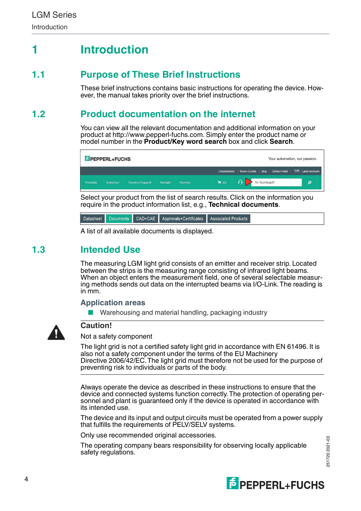## <span id="page-3-0"></span>**1 Introduction**

## **1.1 Purpose of These Brief Instructions**

<span id="page-3-2"></span><span id="page-3-1"></span>These brief instructions contains basic instructions for operating the device. However, the manual takes priority over the brief instructions.

## **1.2 Product documentation on the internet**

[You can view all the relevant documentation and additional information on your](http://www.pepperl-fuchs.com)  product at http://www.pepperl-fuchs.com. Simply enter the product name or [model number in the](http://www.pepperl-fuchs.com) **Product/Key word search** box and click **Search**.

| <b><i>f</i></b> PEPPERL+FUCHS<br>Your automation, our passion. |                 |                 |         |          |                    |                                                                     |   |
|----------------------------------------------------------------|-----------------|-----------------|---------|----------|--------------------|---------------------------------------------------------------------|---|
|                                                                |                 |                 |         |          |                    | Unternehmen   News+Events   Blog   Online-Portal   1. Land wechseln |   |
| Produkte                                                       | <b>Branchen</b> | Service+Support | Kontakt | Karriere | $\blacksquare$ (0) | Ihr Suchbegriff                                                     | م |

Select your product from the list of search results. Click on the information you require in the product information list, e.g., **Technical documents**.

CAD+CAE Approvals+Certificates Datasheet Documents Associated Products

<span id="page-3-3"></span>A list of all available documents is displayed.

## **1.3 Intended Use**

The measuring LGM light grid consists of an emitter and receiver strip. Located between the strips is the measuring range consisting of infrared light beams. When an object enters the measurement field, one of several selectable measuring methods sends out data on the interrupted beams via I/O-Link. The reading is in mm.

## **Application areas**

Warehousing and material handling, packaging industry



## **Caution!**

Not a safety component

The light grid is not a certified safety light grid in accordance with EN 61496. It is also not a safety component under the terms of the EU Machinery Directive 2006/42/EC. The light grid must therefore not be used for the purpose of preventing risk to individuals or parts of the body.

Always operate the device as described in these instructions to ensure that the device and connected systems function correctly. The protection of operating personnel and plant is guaranteed only if the device is operated in accordance with its intended use.

The device and its input and output circuits must be operated from a power supply that fulfills the requirements of PELV/SELV systems.

Only use recommended original accessories.

The operating company bears responsibility for observing locally applicable safety regulations.

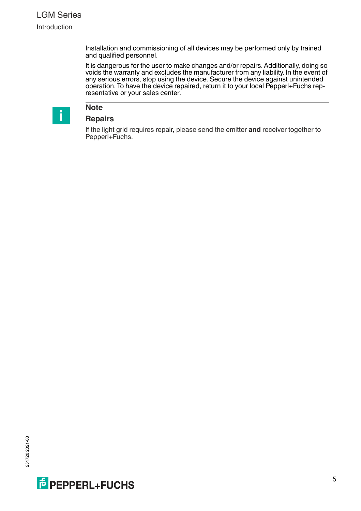Installation and commissioning of all devices may be performed only by trained and qualified personnel.

It is dangerous for the user to make changes and/or repairs. Additionally, doing so voids the warranty and excludes the manufacturer from any liability. In the event of any serious errors, stop using the device. Secure the device against unintended operation. To have the device repaired, return it to your local Pepperl+Fuchs representative or your sales center.



## **Note**

**Repairs**

If the light grid requires repair, please send the emitter **and** receiver together to Pepperl+Fuchs.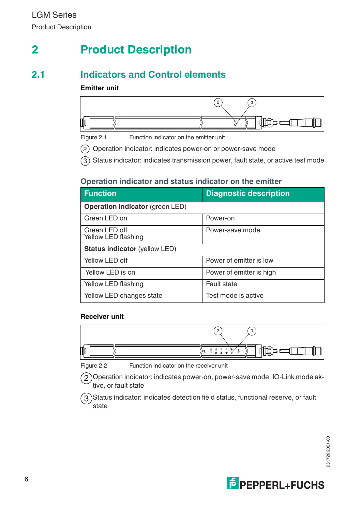## <span id="page-5-0"></span>**2 Product Description**

## **2.1 Indicators and Control elements**

## <span id="page-5-1"></span>**Emitter unit**



Figure 2.1 Function indicator on the emitter unit

2) Operation indicator: indicates power-on or power-save mode

3) Status indicator: indicates transmission power, fault state, or active test mode

## **Operation indicator and status indicator on the emitter**

| <b>Function</b>                        | <b>Diagnostic description</b> |  |
|----------------------------------------|-------------------------------|--|
| <b>Operation indicator</b> (green LED) |                               |  |
| Green LED on                           | Power-on                      |  |
| Green LED off<br>Yellow LED flashing   | Power-save mode               |  |
| <b>Status indicator (yellow LED)</b>   |                               |  |
| Yellow LED off                         | Power of emitter is low       |  |
| Yellow LED is on                       | Power of emitter is high      |  |
| Yellow LED flashing                    | Fault state                   |  |
| Yellow LED changes state               | Test mode is active           |  |

### **Receiver unit**



Figure 2.2 Function indicator on the receiver unit

2 )Operation indicator: indicates power-on, power-save mode, IO-Link mode aktive, or fault state

Status indicator: indicates detection field status, functional reserve, or fault state ้ 3

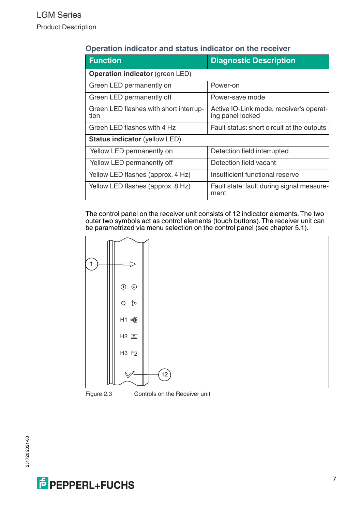| <b>Function</b>                                | <b>Diagnostic Description</b>                               |  |
|------------------------------------------------|-------------------------------------------------------------|--|
| Operation indicator (green LED)                |                                                             |  |
| Green LED permanently on                       | Power-on                                                    |  |
| Green LED permanently off                      | Power-save mode                                             |  |
| Green LED flashes with short interrup-<br>tion | Active IO-Link mode, receiver's operat-<br>ing panel locked |  |
| Green LED flashes with 4 Hz                    | Fault status: short circuit at the outputs                  |  |
| <b>Status indicator (yellow LED)</b>           |                                                             |  |
| Yellow LED permanently on                      | Detection field interrupted                                 |  |
| Yellow LED permanently off                     | Detection field vacant                                      |  |
| Yellow LED flashes (approx. 4 Hz)              | Insufficient functional reserve                             |  |
| Yellow LED flashes (approx. 8 Hz)              | Fault state: fault during signal measure-<br>ment           |  |

## **Operation indicator and status indicator on the receiver**

The control panel on the receiver unit consists of 12 indicator elements. The two outer two symbols act as control elements (touch buttons). The receiver unit can be parametrized via menu selection on the control panel (see chapter [5.1](#page-16-1)).

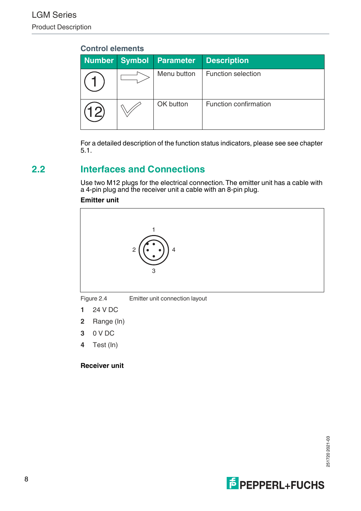| <b>Number</b>          | <b>Symbol</b> | <b>Parameter</b> | <b>Description</b>    |
|------------------------|---------------|------------------|-----------------------|
|                        |               | Menu button      | Function selection    |
| $\mathcal{Q}^{\prime}$ |               | OK button        | Function confirmation |

<span id="page-7-0"></span>For a detailed description of the function status indicators, please see see chapter [5.1.](#page-16-1)

## **2.2 Interfaces and Connections**

Use two M12 plugs for the electrical connection. The emitter unit has a cable with a 4-pin plug and the receiver unit a cable with an 8-pin plug.

### **Emitter unit**



- **1** 24 V DC
- **2** Range (In)
- **3** 0 V DC
- **4** Test (In)

### **Receiver unit**

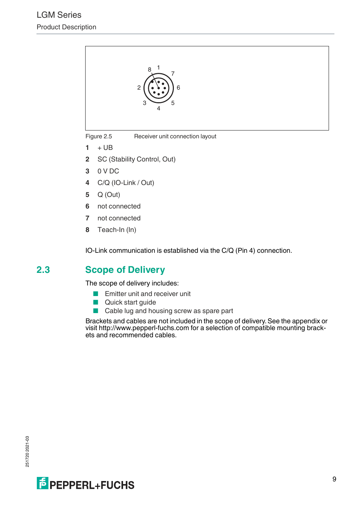

Figure 2.5 Receiver unit connection layout

- $1 + UB$
- **2** SC (Stability Control, Out)
- **3** 0 V DC
- **4** C/Q (IO-Link / Out)
- **5** Q (Out)
- **6** not connected
- **7** not connected
- **8** Teach-In (In)

<span id="page-8-0"></span>IO-Link communication is established via the C/Q (Pin 4) connection.

## **2.3 Scope of Delivery**

The scope of delivery includes:

- Emitter unit and receiver unit
- Quick start guide
- Cable lug and housing screw as spare part

Brackets and cables are not included in the scope of delivery. See the appendix or visit http://www.pepperl-fuchs.com for a selection of compatible mounting brackets and recommended cables.

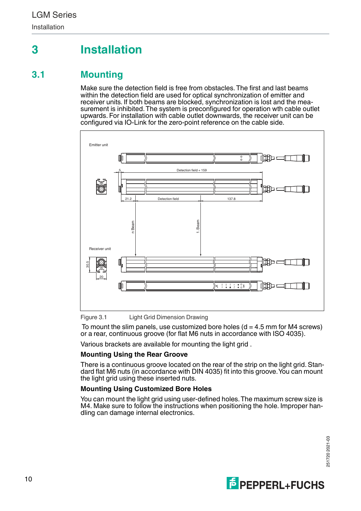## <span id="page-9-0"></span>**3 Installation**

## **3.1 Mounting**

<span id="page-9-1"></span>Make sure the detection field is free from obstacles. The first and last beams within the detection field are used for optical synchronization of emitter and receiver units. If both beams are blocked, synchronization is lost and the measurement is inhibited. The system is preconfigured for operation wth cable outlet upwards. For installation with cable outlet downwards, the receiver unit can be configured via IO-Link for the zero-point reference on the cable side.



Figure 3.1 Light Grid Dimension Drawing

To mount the slim panels, use customized bore holes  $(d = 4.5 \text{ mm}$  for M4 screws) or a rear, continuous groove (for flat M6 nuts in accordance with ISO 4035).

Various brackets are available for mounting the light grid .

### **Mounting Using the Rear Groove**

There is a continuous groove located on the rear of the strip on the light grid. Standard flat M6 nuts (in accordance with DIN 4035) fit into this groove. You can mount the light grid using these inserted nuts.

### **Mounting Using Customized Bore Holes**

You can mount the light grid using user-defined holes. The maximum screw size is M4. Make sure to follow the instructions when positioning the hole. Improper han-<br>dling can damage internal electronics.

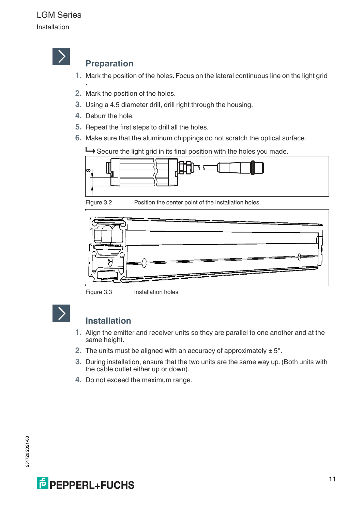

## **Preparation**

- **1.** Mark the position of the holes. Focus on the lateral continuous line on the light grid
- **2.** Mark the position of the holes.
- **3.** Using a 4.5 diameter drill, drill right through the housing.
- **4.** Deburr the hole.

.

- **5.** Repeat the first steps to drill all the holes.
- **6.** Make sure that the aluminum chippings do not scratch the optical surface.

Secure the light grid in its final position with the holes you made.



Figure 3.2 Position the center point of the installation holes.



Figure 3.3 Installation holes



## **Installation**

- **1.** Align the emitter and receiver units so they are parallel to one another and at the same height.
- **2.** The units must be aligned with an accuracy of approximately ± 5°.
- **3.** During installation, ensure that the two units are the same way up. (Both units with the cable outlet either up or down).
- **4.** Do not exceed the maximum range.

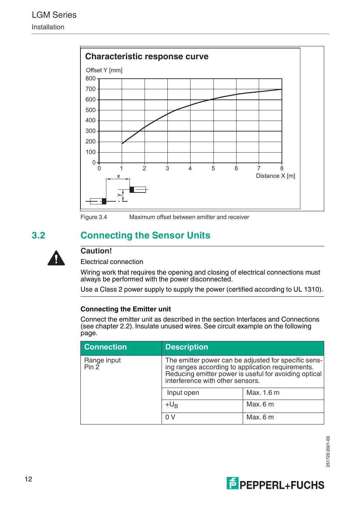

<span id="page-11-0"></span>Figure 3.4 Maximum offset between emitter and receiver

## **3.2 Connecting the Sensor Units**



## **Caution!**

Electrical connection

Wiring work that requires the opening and closing of electrical connections must always be performed with the power disconnected.

Use a Class 2 power supply to supply the power (certified according to UL 1310).

### **Connecting the Emitter unit**

Connect the emitter unit as described in the section Interfaces and Connections (see chapter [2.2\)](#page-7-0). Insulate unused wires. See circuit example on the following page.

| <b>Connection</b>    | <b>Description</b>                                                                                                                                                                                     |            |  |
|----------------------|--------------------------------------------------------------------------------------------------------------------------------------------------------------------------------------------------------|------------|--|
| Range input<br>Pin 2 | The emitter power can be adjusted for specific sens-<br>ing ranges according to application requirements.<br>Reducing emitter power is useful for avoiding optical<br>interference with other sensors. |            |  |
|                      | Input open                                                                                                                                                                                             | Max. 1.6 m |  |
|                      | $+U_{B}$                                                                                                                                                                                               | Max.6m     |  |
|                      | 0V                                                                                                                                                                                                     | Max.6m     |  |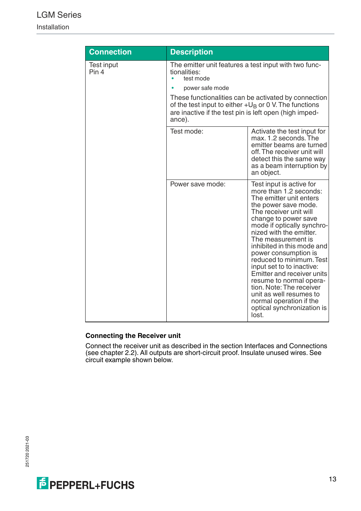## LGM Series

Installation

| <b>Connection</b>   | <b>Description</b>                                                                                                                                                                                                                                                                  |                                                                                                                                                                                                                                                                                                                                                                                                                                                                                                                                         |  |
|---------------------|-------------------------------------------------------------------------------------------------------------------------------------------------------------------------------------------------------------------------------------------------------------------------------------|-----------------------------------------------------------------------------------------------------------------------------------------------------------------------------------------------------------------------------------------------------------------------------------------------------------------------------------------------------------------------------------------------------------------------------------------------------------------------------------------------------------------------------------------|--|
| Test input<br>Pin 4 | The emitter unit features a test input with two func-<br>tionalities:<br>test mode<br>power safe mode<br>These functionalities can be activated by connection<br>of the test input to either $+U_B$ or 0 V. The functions<br>are inactive if the test pin is left open (high imped- |                                                                                                                                                                                                                                                                                                                                                                                                                                                                                                                                         |  |
|                     | ance).<br>Test mode:                                                                                                                                                                                                                                                                | Activate the test input for<br>max. 1.2 seconds. The<br>emitter beams are turned<br>off. The receiver unit will<br>detect this the same way<br>as a beam interruption by<br>an object.                                                                                                                                                                                                                                                                                                                                                  |  |
|                     | Power save mode:                                                                                                                                                                                                                                                                    | Test input is active for<br>more than 1.2 seconds:<br>The emitter unit enters<br>the power save mode.<br>The receiver unit will<br>change to power save<br>mode if optically synchro-<br>nized with the emitter.<br>The measurement is<br>inhibited in this mode and<br>power consumption is<br>reduced to minimum. Test<br>input set to to inactive:<br>Emitter and receiver units<br>resume to normal opera-<br>tion. Note: The receiver<br>unit as well resumes to<br>normal operation if the<br>optical synchronization is<br>lost. |  |

### **Connecting the Receiver unit**

Connect the receiver unit as described in the section Interfaces and Connections (see chapter [2.2\)](#page-7-0). All outputs are short-circuit proof. Insulate unused wires. See circuit example shown below.

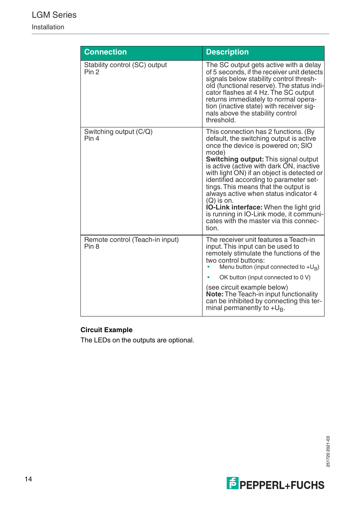## LGM Series Installation

| <b>Connection</b>                                   | <b>Description</b>                                                                                                                                                                                                                                                                                                                                                                                                                                                                                                                                                |
|-----------------------------------------------------|-------------------------------------------------------------------------------------------------------------------------------------------------------------------------------------------------------------------------------------------------------------------------------------------------------------------------------------------------------------------------------------------------------------------------------------------------------------------------------------------------------------------------------------------------------------------|
| Stability control (SC) output<br>Pin 2              | The SC output gets active with a delay<br>of 5 seconds, if the receiver unit detects<br>signals below stability control thresh-<br>old (functional reserve). The status indi-<br>cator flashes at 4 Hz. The SC output<br>returns immediately to normal opera-<br>tion (inactive state) with receiver sig-<br>nals above the stability control<br>threshold.                                                                                                                                                                                                       |
| Switching output (C/Q)<br>Pin 4                     | This connection has 2 functions. (By<br>default, the switching output is active<br>once the device is powered on: SIO<br>mode)<br><b>Switching output:</b> This signal output<br>is active (active with dark ON, inactive<br>with light ON) if an object is detected or<br>identified according to parameter set-<br>tings. This means that the output is<br>always active when status indicator 4<br>$(Q)$ is on.<br><b>IO-Link interface:</b> When the light grid<br>is running in IO-Link mode, it communi-<br>cates with the master via this connec-<br>tion. |
| Remote control (Teach-in input)<br>Pin <sub>8</sub> | The receiver unit features a Teach-in<br>input. This input can be used to<br>remotely stimulate the functions of the<br>two control buttons:<br>Menu button (input connected to $+U_B$ )<br>OK button (input connected to 0 V)<br>(see circuit example below)<br>Note: The Teach-in input functionality<br>can be inhibited by connecting this ter-<br>minal permanently to $+U_R$ .                                                                                                                                                                              |

## **Circuit Example**

The LEDs on the outputs are optional.

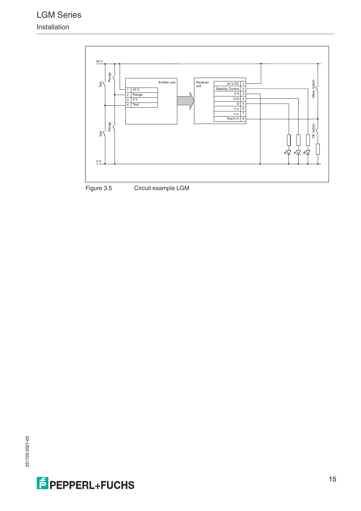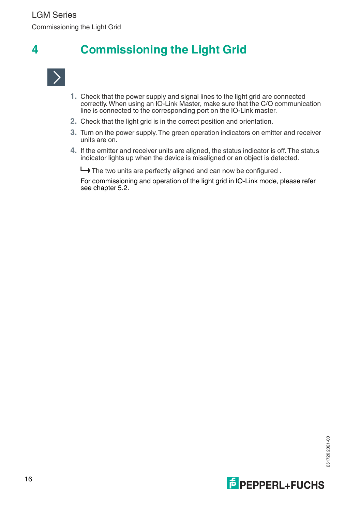## **4 Commissioning the Light Grid**

<span id="page-15-0"></span>

- **1.** Check that the power supply and signal lines to the light grid are connected correctly. When using an IO-Link Master, make sure that the C/Q communication line is connected to the corresponding port on the IO-Link master.
- **2.** Check that the light grid is in the correct position and orientation.
- **3.** Turn on the power supply. The green operation indicators on emitter and receiver units are on.
- **4.** If the emitter and receiver units are aligned, the status indicator is off. The status indicator lights up when the device is misaligned or an object is detected.

 $\rightarrow$  The two units are perfectly aligned and can now be configured.

For commissioning and operation of the light grid in IO-Link mode, please refer see chapter 5.2.

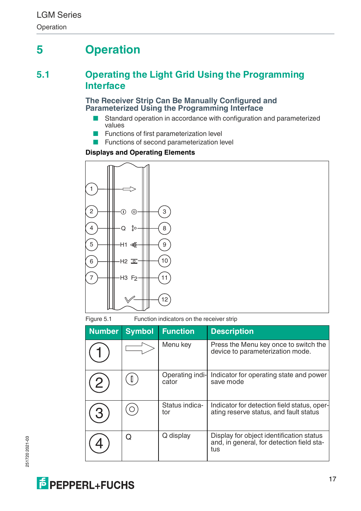## <span id="page-16-0"></span>**5 Operation**

## **5.1 Operating the Light Grid Using the Programming Interface**

### <span id="page-16-1"></span>**The Receiver Strip Can Be Manually Configured and Parameterized Using the Programming Interface**

- Standard operation in accordance with configuration and parameterized values
- Functions of first parameterization level
- Functions of second parameterization level

## **Displays and Operating Elements**



Figure 5.1 Function indicators on the receiver strip

| <b>Number</b> | <b>Symbol</b> | <b>Function</b>          | <b>Description</b>                                                                           |
|---------------|---------------|--------------------------|----------------------------------------------------------------------------------------------|
|               |               | Menu key                 | Press the Menu key once to switch the<br>device to parameterization mode.                    |
|               | Ш             | Operating indi-<br>cator | Indicator for operating state and power<br>save mode                                         |
|               |               | Status indica-<br>tor    | Indicator for detection field status, oper-<br>ating reserve status, and fault status        |
|               | ი             | Q display                | Display for object identification status<br>and, in general, for detection field sta-<br>tus |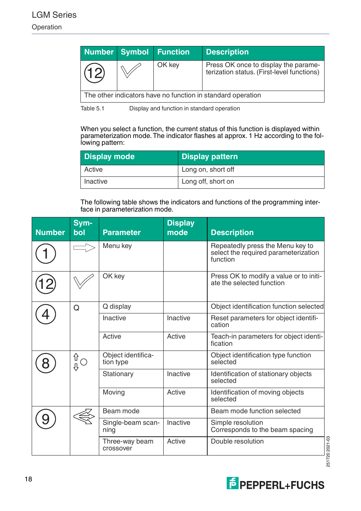|                                                             |  | Number Symbol Function | <b>Description</b>                                                                 |
|-------------------------------------------------------------|--|------------------------|------------------------------------------------------------------------------------|
|                                                             |  | OK key                 | Press OK once to display the parame-<br>terization status. (First-level functions) |
| The other indicators have no function in standard operation |  |                        |                                                                                    |

Table 5.1 Display and function in standard operation

When you select a function, the current status of this function is displayed within parameterization mode. The indicator flashes at approx. 1 Hz according to the following pattern:

| Display mode | <b>Display pattern</b> |
|--------------|------------------------|
| Active       | Long on, short off     |
| Inactive     | Long off, short on     |

The following table shows the indicators and functions of the programming interface in parameterization mode.

| <b>Number</b> | Sym-<br>bol | <b>Parameter</b>                | <b>Display</b><br>mode | <b>Description</b>                                                                   |
|---------------|-------------|---------------------------------|------------------------|--------------------------------------------------------------------------------------|
|               |             | Menu key                        |                        | Repeatedly press the Menu key to<br>select the required parameterization<br>function |
|               |             | OK key                          |                        | Press OK to modify a value or to initi-<br>ate the selected function                 |
|               | Q           | Q display                       |                        | Object identification function selected                                              |
|               |             | Inactive                        | Inactive               | Reset parameters for object identifi-<br>cation                                      |
|               |             | Active                          | Active                 | Teach-in parameters for object identi-<br>fication                                   |
|               | ∯O<br>∯     | Object identifica-<br>tion type |                        | Object identification type function<br>selected                                      |
|               |             | Stationary                      | Inactive               | Identification of stationary objects<br>selected                                     |
|               |             | Moving                          | Active                 | Identification of moving objects<br>selected                                         |
|               |             | Beam mode                       |                        | Beam mode function selected                                                          |
|               |             | Single-beam scan-<br>ning       | Inactive               | Simple resolution<br>Corresponds to the beam spacing                                 |
|               |             | Three-way beam<br>crossover     | Active                 | Double resolution                                                                    |

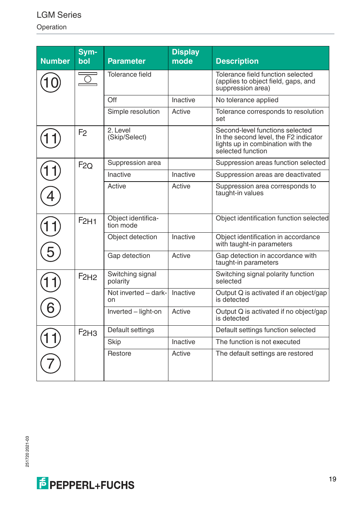## LGM Series

Operation

| <b>Number</b> | Sym-<br>bol      | <b>Parameter</b>                | <b>Display</b><br>mode | <b>Description</b>                                                                                                                 |
|---------------|------------------|---------------------------------|------------------------|------------------------------------------------------------------------------------------------------------------------------------|
|               |                  | Tolerance field                 |                        | Tolerance field function selected<br>(applies to object field, gaps, and<br>suppression area)                                      |
|               |                  | Off                             | Inactive               | No tolerance applied                                                                                                               |
|               |                  | Simple resolution               | Active                 | Tolerance corresponds to resolution<br>set                                                                                         |
|               | F <sub>2</sub>   | 2. Level<br>(Skip/Select)       |                        | Second-level functions selected<br>In the second level, the F2 indicator<br>lights up in combination with the<br>selected function |
|               | F2Q              | Suppression area                |                        | Suppression areas function selected                                                                                                |
|               |                  | Inactive                        | Inactive               | Suppression areas are deactivated                                                                                                  |
|               |                  | Active                          | Active                 | Suppression area corresponds to<br>taught-in values                                                                                |
|               | F2H1             | Object identifica-<br>tion mode |                        | Object identification function selected                                                                                            |
|               |                  | Object detection                | Inactive               | Object identification in accordance<br>with taught-in parameters                                                                   |
|               |                  | Gap detection                   | Active                 | Gap detection in accordance with<br>taught-in parameters                                                                           |
|               | F <sub>2H2</sub> | Switching signal<br>polarity    |                        | Switching signal polarity function<br>selected                                                                                     |
|               |                  | Not inverted - dark-<br>on      | Inactive               | Output Q is activated if an object/gap<br>is detected                                                                              |
|               |                  | Inverted - light-on             | Active                 | Output Q is activated if no object/gap<br>is detected                                                                              |
|               | F2H3             | Default settings                |                        | Default settings function selected                                                                                                 |
|               |                  | Skip                            | Inactive               | The function is not executed                                                                                                       |
|               |                  | Restore                         | Active                 | The default settings are restored                                                                                                  |

251720 2021-03 251720 2021-03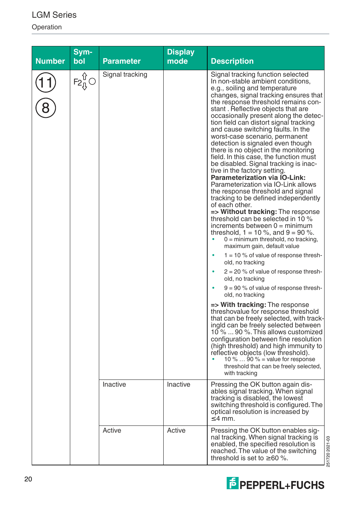Operation

| Number | Sym-<br>bol                                                 | <b>Parameter</b> | <b>Display</b><br>mode | <b>Description</b>                                                                                                                                                                                                                                                                                                                                                                                                                                                                                                                                                                                                                                                                                                                                                                                                                                                                                                                                                                                                                                |
|--------|-------------------------------------------------------------|------------------|------------------------|---------------------------------------------------------------------------------------------------------------------------------------------------------------------------------------------------------------------------------------------------------------------------------------------------------------------------------------------------------------------------------------------------------------------------------------------------------------------------------------------------------------------------------------------------------------------------------------------------------------------------------------------------------------------------------------------------------------------------------------------------------------------------------------------------------------------------------------------------------------------------------------------------------------------------------------------------------------------------------------------------------------------------------------------------|
|        | ⇧<br>$\mathsf{F2}^\mathsf{u}_\mathbb{Q}\hspace{0.03cm}\cup$ | Signal tracking  |                        | Signal tracking function selected<br>In non-stable ambient conditions,<br>e.g., soiling and temperature<br>changes, signal tracking ensures that<br>the response threshold remains con-<br>stant. Reflective objects that are<br>occasionally present along the detec-<br>tion field can distort signal tracking<br>and cause switching faults. In the<br>worst-case scenario, permanent<br>detection is signaled even though<br>there is no object in the monitoring<br>field. In this case, the function must<br>be disabled. Signal tracking is inac-<br>tive in the factory setting.<br>Parameterization via IO-Link:<br>Parameterization via IO-Link allows<br>the response threshold and signal<br>tracking to be defined independently<br>of each other.<br>=> Without tracking: The response<br>threshold can be selected in 10 %<br>increments between $0 = \text{minimum}$<br>threshold, $1 = 10$ %, and $9 = 90$ %.<br>$0 =$ minimum threshold, no tracking,<br>maximum gain, default value<br>$1 = 10$ % of value of response thresh- |
|        |                                                             |                  |                        | old, no tracking<br>$2 = 20$ % of value of response thresh-<br>old, no tracking                                                                                                                                                                                                                                                                                                                                                                                                                                                                                                                                                                                                                                                                                                                                                                                                                                                                                                                                                                   |
|        |                                                             |                  |                        | $9 = 90$ % of value of response thresh-<br>old, no tracking                                                                                                                                                                                                                                                                                                                                                                                                                                                                                                                                                                                                                                                                                                                                                                                                                                                                                                                                                                                       |
|        |                                                             |                  |                        | => With tracking: The response<br>threshovalue for response threshold<br>that can be freely selected, with track-<br>ingld can be freely selected between<br>10 %  90 %. This allows customized<br>configuration between fine resolution<br>(high threshold) and high immunity to<br>reflective objects (low threshold).<br>10 % $\ldots$ 90 % = value for response<br>threshold that can be freely selected,<br>with tracking                                                                                                                                                                                                                                                                                                                                                                                                                                                                                                                                                                                                                    |
|        |                                                             | Inactive         | Inactive               | Pressing the OK button again dis-<br>ables signal tracking. When signal<br>tracking is disabled, the lowest<br>switching threshold is configured. The<br>optical resolution is increased by<br>$\leq$ 4 mm.                                                                                                                                                                                                                                                                                                                                                                                                                                                                                                                                                                                                                                                                                                                                                                                                                                       |
|        |                                                             | Active           | Active                 | Pressing the OK button enables sig-<br>nal tracking. When signal tracking is<br>2517202021-03<br>enabled, the specified resolution is<br>reached. The value of the switching<br>threshold is set to $\geq 60$ %.                                                                                                                                                                                                                                                                                                                                                                                                                                                                                                                                                                                                                                                                                                                                                                                                                                  |



251720 2021-03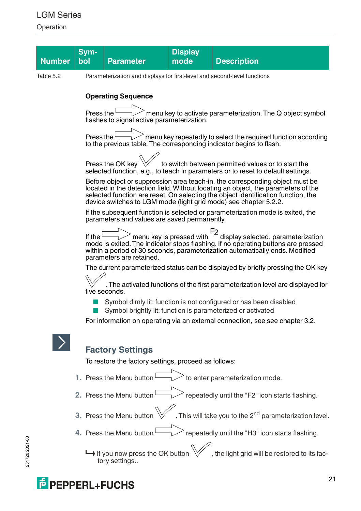Operation

|           | Sym-                                                                          |                                                                                                                                  | <b>Display</b>               |                                                                                                                                                                                                                                                                                                                            |  |  |  |  |
|-----------|-------------------------------------------------------------------------------|----------------------------------------------------------------------------------------------------------------------------------|------------------------------|----------------------------------------------------------------------------------------------------------------------------------------------------------------------------------------------------------------------------------------------------------------------------------------------------------------------------|--|--|--|--|
| Number    | bol                                                                           | <b>Parameter</b>                                                                                                                 | mode                         | <b>Description</b>                                                                                                                                                                                                                                                                                                         |  |  |  |  |
| Table 5.2 |                                                                               | Parameterization and displays for first-level and second-level functions                                                         |                              |                                                                                                                                                                                                                                                                                                                            |  |  |  |  |
|           | <b>Operating Sequence</b>                                                     |                                                                                                                                  |                              |                                                                                                                                                                                                                                                                                                                            |  |  |  |  |
|           |                                                                               |                                                                                                                                  |                              |                                                                                                                                                                                                                                                                                                                            |  |  |  |  |
|           | Press the $L$                                                                 | flashes to signal active parameterization.                                                                                       |                              | menu key to activate parameterization. The Q object symbol                                                                                                                                                                                                                                                                 |  |  |  |  |
|           | Press the $\mathord{\text{L}}$                                                |                                                                                                                                  |                              | $\ge$ menu key repeatedly to select the required function according<br>to the previous table. The corresponding indicator begins to flash.                                                                                                                                                                                 |  |  |  |  |
|           |                                                                               |                                                                                                                                  |                              |                                                                                                                                                                                                                                                                                                                            |  |  |  |  |
|           |                                                                               | Press the OK key                                                                                                                 |                              | to switch between permitted values or to start the<br>selected function, e.g., to teach in parameters or to reset to default settings.                                                                                                                                                                                     |  |  |  |  |
|           |                                                                               |                                                                                                                                  |                              | Before object or suppression area teach-in, the corresponding object must be<br>located in the detection field. Without locating an object, the parameters of the<br>selected function are reset. On selecting the object identification function, the<br>device switches to LGM mode (light grid mode) see chapter 5.2.2. |  |  |  |  |
|           |                                                                               | parameters and values are saved permanently.                                                                                     |                              | If the subsequent function is selected or parameterization mode is exited, the                                                                                                                                                                                                                                             |  |  |  |  |
|           |                                                                               |                                                                                                                                  |                              |                                                                                                                                                                                                                                                                                                                            |  |  |  |  |
|           | If the $L$                                                                    | parameters are retained.                                                                                                         | $>$ menu key is pressed with | F2<br>display selected, parameterization<br>display setting buttons are pressed<br>mode is exited. The indicator stops flashing. If no operating buttons are pressed<br>within a period of 30 seconds, parameterization automatically ends. Modified                                                                       |  |  |  |  |
|           |                                                                               |                                                                                                                                  |                              | The current parameterized status can be displayed by briefly pressing the OK key                                                                                                                                                                                                                                           |  |  |  |  |
|           |                                                                               | five seconds.                                                                                                                    |                              | The activated functions of the first parameterization level are displayed for                                                                                                                                                                                                                                              |  |  |  |  |
|           |                                                                               | Symbol dimly lit: function is not configured or has been disabled<br>Symbol brightly lit: function is parameterized or activated |                              |                                                                                                                                                                                                                                                                                                                            |  |  |  |  |
|           | For information on operating via an external connection, see see chapter 3.2. |                                                                                                                                  |                              |                                                                                                                                                                                                                                                                                                                            |  |  |  |  |
|           |                                                                               |                                                                                                                                  |                              |                                                                                                                                                                                                                                                                                                                            |  |  |  |  |
|           |                                                                               | <b>Factory Settings</b>                                                                                                          |                              |                                                                                                                                                                                                                                                                                                                            |  |  |  |  |
|           |                                                                               | To restore the factory settings, proceed as follows:                                                                             |                              |                                                                                                                                                                                                                                                                                                                            |  |  |  |  |
|           |                                                                               |                                                                                                                                  |                              |                                                                                                                                                                                                                                                                                                                            |  |  |  |  |
|           |                                                                               | 1. Press the Menu button L                                                                                                       |                              | to enter parameterization mode.                                                                                                                                                                                                                                                                                            |  |  |  |  |
|           |                                                                               | 2. Press the Menu button <sup>L</sup>                                                                                            |                              | repeatedly until the "F2" icon starts flashing.                                                                                                                                                                                                                                                                            |  |  |  |  |
|           |                                                                               | 3. Press the Menu button                                                                                                         |                              | This will take you to the 2 <sup>nd</sup> parameterization level.                                                                                                                                                                                                                                                          |  |  |  |  |
|           |                                                                               | 4. Press the Menu button <sup>l</sup>                                                                                            |                              | repeatedly until the "H3" icon starts flashing.                                                                                                                                                                                                                                                                            |  |  |  |  |
|           |                                                                               | $\mapsto$ If you now press the OK button<br>tory settings                                                                        |                              | , the light grid will be restored to its fac-                                                                                                                                                                                                                                                                              |  |  |  |  |

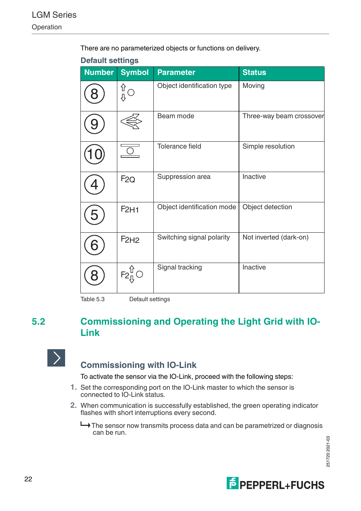There are no parameterized objects or functions on delivery.

| <b>Number</b> | <b>Symbol</b>    | <b>Parameter</b>           | <b>Status</b>            |
|---------------|------------------|----------------------------|--------------------------|
|               | ∯<br>∯           | Object identification type | Moving                   |
|               |                  | Beam mode                  | Three-way beam crossover |
|               |                  | Tolerance field            | Simple resolution        |
|               | F2Q              | Suppression area           | Inactive                 |
| 5             | F <sub>2H1</sub> | Object identification mode | Object detection         |
|               | F2H2             | Switching signal polarity  | Not inverted (dark-on)   |
|               | $F_2^{\hat{U}}$  | Signal tracking            | Inactive                 |

## **Default settings**

Table 5.3 Default settings

## **5.2 Commissioning and Operating the Light Grid with IO-Link**



## **Commissioning with IO-Link**

To activate the sensor via the IO-Link, proceed with the following steps:

- **1.** Set the corresponding port on the IO-Link master to which the sensor is connected to IO-Link status.
- **2.** When communication is successfully established, the green operating indicator flashes with short interruptions every second.
	- The sensor now transmits process data and can be parametrized or diagnosis can be run.

2517202021-03 251720 2021-03

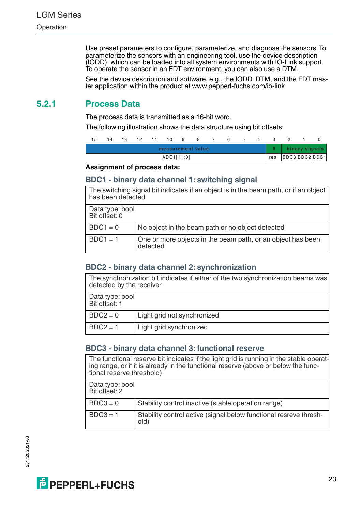Use preset parameters to configure, parameterize, and diagnose the sensors. To parameterize the sensors with an engineering tool, use the device description (IODD), which can be loaded into all system environments with IO-Link support. To operate the sensor in an FDT environment, you can also use a DTM.

See the device description and software, e.g., the IODD, DTM, and the FDT master application within the product at www.pepperl-fuchs.com/io-link.

## **5.2.1 Process Data**

The process data is transmitted as a 16-bit word.

The following illustration shows the data structure using bit offsets:

| 15 |  | 14 13 12 11 10 9 8 7 6 5 4 3 |            |                   |  |  |                     |  |
|----|--|------------------------------|------------|-------------------|--|--|---------------------|--|
|    |  |                              |            | measurement value |  |  | 0   binary signals  |  |
|    |  |                              | ADC1[11:0] |                   |  |  | res  BDC3 BDC2 BDC1 |  |

### **Assignment of process data:**

### **BDC1 - binary data channel 1: switching signal**

|                                  | The switching signal bit indicates if an object is in the beam path, or if an object<br>has been detected |  |  |  |  |
|----------------------------------|-----------------------------------------------------------------------------------------------------------|--|--|--|--|
| Data type: bool<br>Bit offset: 0 |                                                                                                           |  |  |  |  |
| $BDC1 = 0$                       | No object in the beam path or no object detected                                                          |  |  |  |  |
| $BDC1 = 1$                       | One or more objects in the beam path, or an object has been<br>detected                                   |  |  |  |  |

## **BDC2 - binary data channel 2: synchronization**

The synchronization bit indicates if either of the two synchronization beams was detected by the receiver

| Data type: bool<br>Bit offset: 1 |                             |  |  |
|----------------------------------|-----------------------------|--|--|
| $BDC2 = 0$                       | Light grid not synchronized |  |  |
| $BDC2 = 1$                       | Light grid synchronized     |  |  |

## **BDC3 - binary data channel 3: functional reserve**

The functional reserve bit indicates if the light grid is running in the stable operating range, or if it is already in the functional reserve (above or below the functional reserve threshold)

| Data type: bool<br>Bit offset: 2 |                                                                           |
|----------------------------------|---------------------------------------------------------------------------|
| $BDC3 = 0$                       | Stability control inactive (stable operation range)                       |
| $BDC3 = 1$                       | Stability control active (signal below functional resreve thresh-<br>old) |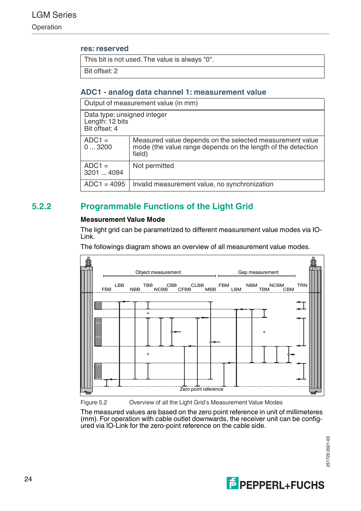### **res: reserved**

This bit is not used. The value is always "0".

Bit offset: 2

## **ADC1 - analog data channel 1: measurement value**

| Output of measurement value (in mm)                                                                                                                     |                                               |  |  |  |
|---------------------------------------------------------------------------------------------------------------------------------------------------------|-----------------------------------------------|--|--|--|
| Data type: unsigned integer<br>Length: 12 bits<br>Bit offset: 4                                                                                         |                                               |  |  |  |
| $ADC1 =$<br>Measured value depends on the selected measurement value<br>mode (the value range depends on the length of the detection<br>03200<br>field) |                                               |  |  |  |
| $ADC1 =$<br>3201  4094                                                                                                                                  | Not permitted                                 |  |  |  |
| $ADC1 = 4095$                                                                                                                                           | Invalid measurement value, no synchronization |  |  |  |

## **5.2.2 Programmable Functions of the Light Grid**

### **Measurement Value Mode**

The light grid can be parametrized to different measurement value modes via IO-Link.

The followings diagram shows an overview of all measurement value modes.



Figure 5.2 Overview of all the Light Grid's Measurement Value Modes

The measured values are based on the zero point reference in unit of millimeteres (mm). For operation with cable outlet downwards, the receiver unit can be configured via IO-Link for the zero-point reference on the cable side.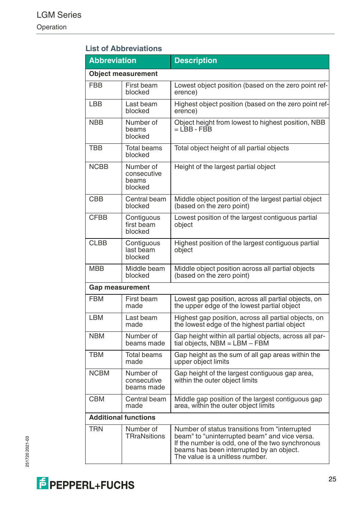## **List of Abbreviations**

| <b>Abbreviation</b>    |                                              | <b>Description</b>                                                                                                                                                                                                                 |  |  |  |  |
|------------------------|----------------------------------------------|------------------------------------------------------------------------------------------------------------------------------------------------------------------------------------------------------------------------------------|--|--|--|--|
|                        | <b>Object measurement</b>                    |                                                                                                                                                                                                                                    |  |  |  |  |
| <b>FBB</b>             | First beam<br>blocked                        | Lowest object position (based on the zero point ref-<br>erence)                                                                                                                                                                    |  |  |  |  |
| LBB                    | Last beam<br>blocked                         | Highest object position (based on the zero point ref-<br>erence)                                                                                                                                                                   |  |  |  |  |
| <b>NBB</b>             | Number of<br>beams<br>blocked                | Object height from lowest to highest position, NBB<br>$=$ LBB - FBB                                                                                                                                                                |  |  |  |  |
| TBB                    | <b>Total beams</b><br>blocked                | Total object height of all partial objects                                                                                                                                                                                         |  |  |  |  |
| <b>NCBB</b>            | Number of<br>consecutive<br>beams<br>blocked | Height of the largest partial object                                                                                                                                                                                               |  |  |  |  |
| <b>CBB</b>             | Central beam<br>blocked                      | Middle object position of the largest partial object<br>(based on the zero point)                                                                                                                                                  |  |  |  |  |
| <b>CFBB</b>            | Contiguous<br>first beam<br>blocked          | Lowest position of the largest contiguous partial<br>object                                                                                                                                                                        |  |  |  |  |
| <b>CLBB</b>            | Contiguous<br>last beam<br>blocked           | Highest position of the largest contiguous partial<br>object                                                                                                                                                                       |  |  |  |  |
| <b>MBB</b>             | Middle beam<br>blocked                       | Middle object position across all partial objects<br>(based on the zero point)                                                                                                                                                     |  |  |  |  |
| <b>Gap measurement</b> |                                              |                                                                                                                                                                                                                                    |  |  |  |  |
| <b>FBM</b>             | First beam<br>made                           | Lowest gap position, across all partial objects, on<br>the upper edge of the lowest partial object                                                                                                                                 |  |  |  |  |
| <b>LBM</b>             | Last beam<br>made                            | Highest gap position, across all partial objects, on<br>the lowest edge of the highest partial object                                                                                                                              |  |  |  |  |
| <b>NBM</b>             | Number of<br>beams made                      | Gap height within all partial objects, across all par-<br>tial objects, NBM = LBM - FBM                                                                                                                                            |  |  |  |  |
| <b>TBM</b>             | Total beams<br>made                          | Gap height as the sum of all gap areas within the<br>upper object limits                                                                                                                                                           |  |  |  |  |
| <b>NCBM</b>            | Number of<br>consecutive<br>beams made       | Gap height of the largest contiguous gap area,<br>within the outer object limits                                                                                                                                                   |  |  |  |  |
| <b>CBM</b>             | Central beam<br>made                         | Middle gap position of the largest contiguous gap<br>area, within the outer object limits                                                                                                                                          |  |  |  |  |
|                        | <b>Additional functions</b>                  |                                                                                                                                                                                                                                    |  |  |  |  |
| <b>TRN</b>             | Number of<br>TRraNsitions                    | Number of status transitions from "interrupted<br>beam" to "uninterrupted beam" and vice versa.<br>If the number is odd, one of the two synchronous<br>beams has been interrupted by an object.<br>The value is a unitless number. |  |  |  |  |

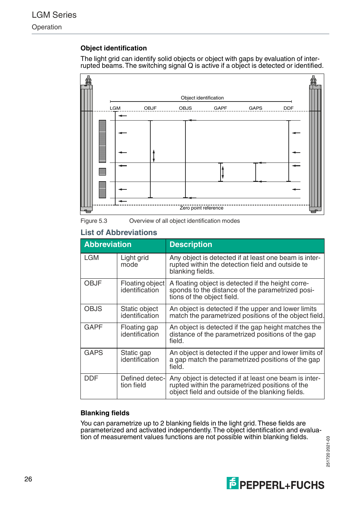## **Object identification**

The light grid can identify solid objects or object with gaps by evaluation of interrupted beams. The switching signal Q is active if a object is detected or identified.





### **List of Abbreviations**

| <b>Abbreviation</b> |                                   | <b>Description</b>                                                                                                                                           |
|---------------------|-----------------------------------|--------------------------------------------------------------------------------------------------------------------------------------------------------------|
| <b>LGM</b>          | Light grid<br>mode                | Any object is detected if at least one beam is inter-<br>rupted within the detection field and outside te<br>blanking fields.                                |
| OBJF                | Floating object<br>identification | A floating object is detected if the height corre-<br>sponds to the distance of the parametrized posi-<br>tions of the object field.                         |
| OBJS                | Static object<br>identification   | An object is detected if the upper and lower limits<br>match the parametrized positions of the object field.                                                 |
| GAPF                | Floating gap<br>identification    | An object is detected if the gap height matches the<br>distance of the parametrized positions of the gap<br>field.                                           |
| <b>GAPS</b>         | Static gap<br>identification      | An object is detected if the upper and lower limits of<br>a gap match the parametrized positions of the gap<br>field.                                        |
| DDF                 | Defined detec-<br>tion field      | Any object is detected if at least one beam is inter-<br>rupted within the parametrized positions of the<br>object field and outside of the blanking fields. |

### **Blanking fields**

You can parametrize up to 2 blanking fields in the light grid. These fields are parameterized and activated independently. The object identification and evaluation of measurement values functions are not possible within blanking fields.

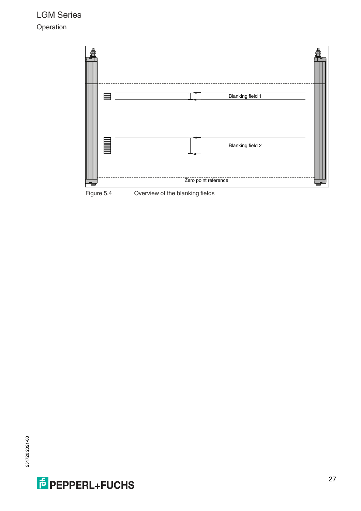

Figure 5.4 Overview of the blanking fields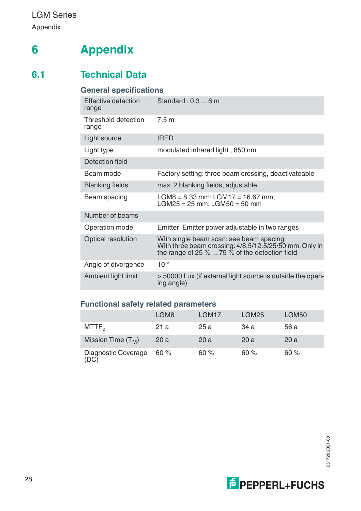## **6 Appendix**

## **6.1 Technical Data**

## **General specifications**

| <b>Effective detection</b><br>range | Standard: $0.36$ m                                                                                                                                       |
|-------------------------------------|----------------------------------------------------------------------------------------------------------------------------------------------------------|
| Threshold detection<br>range        | 7.5m                                                                                                                                                     |
| Light source                        | <b>IRFD</b>                                                                                                                                              |
| Light type                          | modulated infrared light, 850 nm                                                                                                                         |
| Detection field                     |                                                                                                                                                          |
| Beam mode                           | Factory setting: three beam crossing, deactivateable                                                                                                     |
| <b>Blanking fields</b>              | max. 2 blanking fields, adjustable                                                                                                                       |
| Beam spacing                        | $LGMS = 8.33$ mm; $LGM17 = 16.67$ mm;<br>$LGM25 = 25$ mm; $LGM50 = 50$ mm                                                                                |
| Number of beams                     |                                                                                                                                                          |
| Operation mode                      | Emitter: Emitter power adjustable in two ranges                                                                                                          |
| Optical resolution                  | With single beam scan: see beam spacing<br>With three beam crossing: 4/8.5/12.5/25/50 mm. Only in<br>the range of 25 $\%$ 75 $\%$ of the detection field |
| Angle of divergence                 | 10 <sup>°</sup>                                                                                                                                          |
| Ambient light limit                 | > 50000 Lux (if external light source is outside the open-<br>ing angle)                                                                                 |

## **Functional safety related parameters**

|                             | LGM8 | LGM17 | LGM25 | LGM50 |
|-----------------------------|------|-------|-------|-------|
| MTTF <sub>d</sub>           | 21 a | 25 a  | 34 a  | 56 a  |
| Mission Time $(T_M)$        | 20 a | 20a   | 20a   | 20a   |
| Diagnostic Coverage<br>(DC) | 60%  | 60%   | 60%   | 60%   |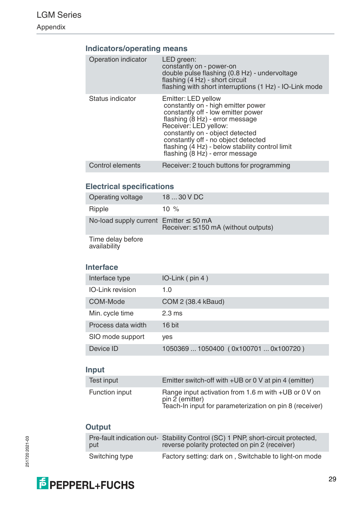## **Indicators/operating means**

| Operation indicator | LED green:<br>constantly on - power-on<br>double pulse flashing (0.8 Hz) - undervoltage<br>flashing (4 Hz) - short circuit<br>flashing with short interruptions (1 Hz) - IO-Link mode                                                                                                                                       |
|---------------------|-----------------------------------------------------------------------------------------------------------------------------------------------------------------------------------------------------------------------------------------------------------------------------------------------------------------------------|
| Status indicator    | Emitter: LED yellow<br>constantly on - high emitter power<br>constantly off - low emitter power<br>flashing (8 Hz) - error message<br>Receiver: LED yellow:<br>constantly on - object detected<br>constantly off - no object detected<br>flashing (4 Hz) - below stability control limit<br>flashing (8 Hz) - error message |
| Control elements    | Receiver: 2 touch buttons for programming                                                                                                                                                                                                                                                                                   |

## **Electrical specifications**

| Operating voltage                           | 18  30 V DC                               |
|---------------------------------------------|-------------------------------------------|
| Ripple                                      | 10 $%$                                    |
| No-load supply current $Emitter \leq 50 mA$ | Receiver: $\leq$ 150 mA (without outputs) |
|                                             |                                           |

Time delay before availability

## **Interface**

| Interface type          | $IO$ -Link $(pin 4)$                  |
|-------------------------|---------------------------------------|
| <b>IO-Link revision</b> | 1.0                                   |
| COM-Mode                | COM 2 (38.4 kBaud)                    |
| Min. cycle time         | $2.3 \text{ ms}$                      |
| Process data width      | 16 bit                                |
| SIO mode support        | ves                                   |
| Device ID               | 1050369  1050400 (0x100701  0x100720) |

## **Input**

| Test input     | Emitter switch-off with +UB or 0 V at pin 4 (emitter)                                                                              |
|----------------|------------------------------------------------------------------------------------------------------------------------------------|
| Function input | Range input activation from 1.6 m with +UB or 0 V on<br>pin 2 (emitter)<br>Teach-In input for parameterization on pin 8 (receiver) |

## **Output**

| put            | Pre-fault indication out- Stability Control (SC) 1 PNP, short-circuit protected,<br>reverse polarity protected on pin 2 (receiver) |
|----------------|------------------------------------------------------------------------------------------------------------------------------------|
| Switching type | Factory setting: dark on, Switchable to light-on mode                                                                              |



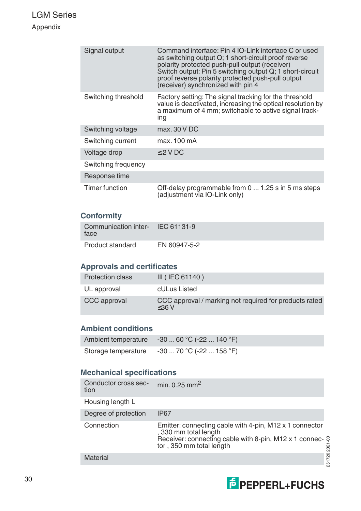## LGM Series Appendix

| Signal output       | Command interface: Pin 4 IO-Link interface C or used<br>as switching output Q; 1 short-circuit proof reverse<br>polarity protected push-pull output (receiver)<br>Switch output: Pin 5 switching output Q; 1 short-circuit<br>proof reverse polarity protected push-pull output<br>(receiver) synchronized with pin 4 |
|---------------------|-----------------------------------------------------------------------------------------------------------------------------------------------------------------------------------------------------------------------------------------------------------------------------------------------------------------------|
| Switching threshold | Factory setting: The signal tracking for the threshold<br>value is deactivated, increasing the optical resolution by<br>a maximum of 4 mm; switchable to active signal track-<br>ing                                                                                                                                  |
| Switching voltage   | max, 30 V DC                                                                                                                                                                                                                                                                                                          |
| Switching current   | max. 100 mA                                                                                                                                                                                                                                                                                                           |
| Voltage drop        | $\leq$ 2 V DC                                                                                                                                                                                                                                                                                                         |
| Switching frequency |                                                                                                                                                                                                                                                                                                                       |
| Response time       |                                                                                                                                                                                                                                                                                                                       |
| Timer function      | Off-delay programmable from 0  1.25 s in 5 ms steps<br>(adjustment via IO-Link only)                                                                                                                                                                                                                                  |

## **Conformity**

| Communication inter- IEC 61131-9<br>face |              |
|------------------------------------------|--------------|
| Product standard                         | EN 60947-5-2 |

## **Approvals and certificates**

| <b>Protection class</b> | $III$ (IEC 61140)                                                  |
|-------------------------|--------------------------------------------------------------------|
| UL approval             | cULus Listed                                                       |
| CCC approval            | CCC approval / marking not required for products rated<br>$<$ 36 V |

## **Ambient conditions**

| Ambient temperature | $-3060 °C (-22140 °F)$ |
|---------------------|------------------------|
| Storage temperature | $-3070 °C (-22158 °F)$ |

## **Mechanical specifications**

| Conductor cross sec-<br>tion | min. $0.25$ mm <sup>2</sup>                                                                                                                                            |
|------------------------------|------------------------------------------------------------------------------------------------------------------------------------------------------------------------|
| Housing length L             |                                                                                                                                                                        |
| Degree of protection         | <b>IP67</b>                                                                                                                                                            |
| Connection                   | Emitter: connecting cable with 4-pin, M12 x 1 connector<br>, 330 mm total length<br>Receiver: connecting cable with 8-pin, M12 x 1 connec-<br>tor, 350 mm total length |
| <b>Material</b>              |                                                                                                                                                                        |

251720 2021-03  $-251$ 

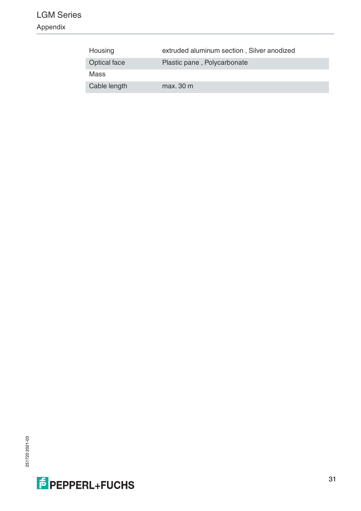## LGM Series

Appendix

| Housing             | extruded aluminum section, Silver anodized |
|---------------------|--------------------------------------------|
| <b>Optical face</b> | Plastic pane, Polycarbonate                |
| Mass                |                                            |
| Cable length        | max, 30 m                                  |